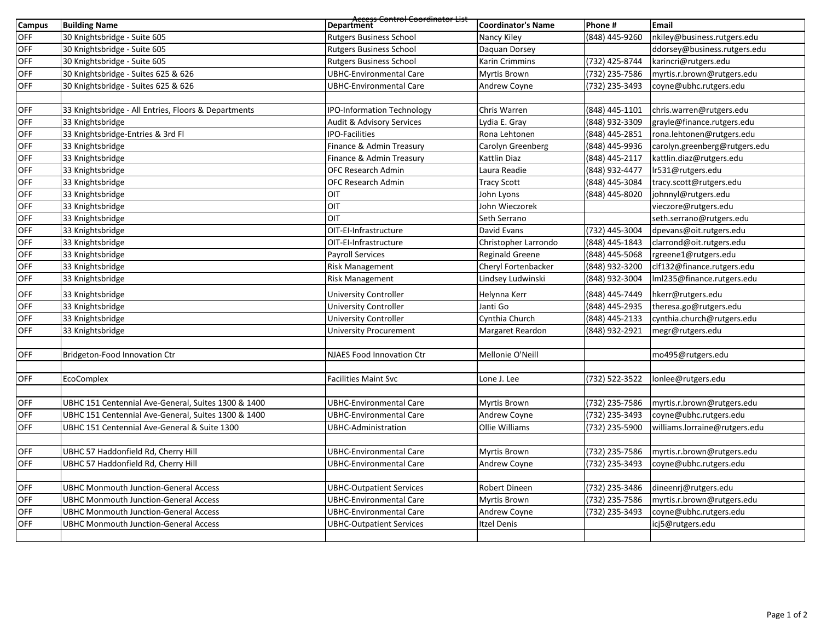| <b>Campus</b> | <b>Building Name</b>                                 | Access Control Coordinator List<br>Department | <b>Coordinator's Name</b> | Phone #        | Email                         |
|---------------|------------------------------------------------------|-----------------------------------------------|---------------------------|----------------|-------------------------------|
| <b>OFF</b>    | 30 Knightsbridge - Suite 605                         | <b>Rutgers Business School</b>                | Nancy Kiley               | (848) 445-9260 | nkiley@business.rutgers.edu   |
| <b>OFF</b>    | 30 Knightsbridge - Suite 605                         | <b>Rutgers Business School</b>                | Daquan Dorsey             |                | ddorsey@business.rutgers.edu  |
| <b>OFF</b>    | 30 Knightsbridge - Suite 605                         | <b>Rutgers Business School</b>                | Karin Crimmins            | (732) 425-8744 | karincri@rutgers.edu          |
| OFF           | 30 Knightsbridge - Suites 625 & 626                  | <b>UBHC-Environmental Care</b>                | Myrtis Brown              | (732) 235-7586 | myrtis.r.brown@rutgers.edu    |
| <b>OFF</b>    | 30 Knightsbridge - Suites 625 & 626                  | UBHC-Environmental Care                       | Andrew Coyne              | (732) 235-3493 | coyne@ubhc.rutgers.edu        |
|               |                                                      |                                               |                           |                |                               |
| <b>OFF</b>    | 33 Knightsbridge - All Entries, Floors & Departments | <b>IPO-Information Technology</b>             | Chris Warren              | (848) 445-1101 | chris.warren@rutgers.edu      |
| OFF           | 33 Knightsbridge                                     | <b>Audit &amp; Advisory Services</b>          | Lydia E. Gray             | (848) 932-3309 | grayle@finance.rutgers.edu    |
| OFF           | 33 Knightsbridge-Entries & 3rd Fl                    | <b>IPO-Facilities</b>                         | Rona Lehtonen             | (848) 445-2851 | rona.lehtonen@rutgers.edu     |
| <b>OFF</b>    | 33 Knightsbridge                                     | Finance & Admin Treasury                      | Carolyn Greenberg         | (848) 445-9936 | carolyn.greenberg@rutgers.edu |
| OFF           | 33 Knightsbridge                                     | Finance & Admin Treasury                      | Kattlin Diaz              | (848) 445-2117 | kattlin.diaz@rutgers.edu      |
| <b>OFF</b>    | 33 Knightsbridge                                     | <b>OFC Research Admin</b>                     | Laura Readie              | (848) 932-4477 | Ir531@rutgers.edu             |
| OFF           | 33 Knightsbridge                                     | <b>OFC Research Admin</b>                     | <b>Tracy Scott</b>        | (848) 445-3084 | tracy.scott@rutgers.edu       |
| <b>OFF</b>    | 33 Knightsbridge                                     | OIT                                           | John Lyons                | (848) 445-8020 | johnnyl@rutgers.edu           |
| OFF           | 33 Knightsbridge                                     | <b>OIT</b>                                    | John Wieczorek            |                | vieczore@rutgers.edu          |
| OFF           | 33 Knightsbridge                                     | OIT                                           | Seth Serrano              |                | seth.serrano@rutgers.edu      |
| <b>OFF</b>    | 33 Knightsbridge                                     | OIT-EI-Infrastructure                         | David Evans               | (732) 445-3004 | dpevans@oit.rutgers.edu       |
| OFF           | 33 Knightsbridge                                     | OIT-EI-Infrastructure                         | Christopher Larrondo      | (848) 445-1843 | clarrond@oit.rutgers.edu      |
| <b>OFF</b>    | 33 Knightsbridge                                     | <b>Payroll Services</b>                       | Reginald Greene           | (848) 445-5068 | rgreene1@rutgers.edu          |
| <b>OFF</b>    | 33 Knightsbridge                                     | <b>Risk Management</b>                        | Cheryl Fortenbacker       | (848) 932-3200 | clf132@finance.rutgers.edu    |
| <b>OFF</b>    | 33 Knightsbridge                                     | <b>Risk Management</b>                        | Lindsey Ludwinski         | (848) 932-3004 | Iml235@finance.rutgers.edu    |
| OFF           | 33 Knightsbridge                                     | <b>University Controller</b>                  | Helynna Kerr              | (848) 445-7449 | hkerr@rutgers.edu             |
| <b>OFF</b>    | 33 Knightsbridge                                     | <b>University Controller</b>                  | Janti Go                  | (848) 445-2935 | theresa.go@rutgers.edu        |
| <b>OFF</b>    | 33 Knightsbridge                                     | <b>University Controller</b>                  | Cynthia Church            | (848) 445-2133 | cynthia.church@rutgers.edu    |
| <b>OFF</b>    | 33 Knightsbridge                                     | <b>University Procurement</b>                 | Margaret Reardon          | (848) 932-2921 | megr@rutgers.edu              |
|               |                                                      |                                               |                           |                |                               |
| <b>OFF</b>    | Bridgeton-Food Innovation Ctr                        | <b>NJAES Food Innovation Ctr</b>              | Mellonie O'Neill          |                | mo495@rutgers.edu             |
|               |                                                      |                                               |                           |                |                               |
| <b>OFF</b>    | EcoComplex                                           | <b>Facilities Maint Svc</b>                   | Lone J. Lee               | (732) 522-3522 | lonlee@rutgers.edu            |
| <b>OFF</b>    | UBHC 151 Centennial Ave-General, Suites 1300 & 1400  | UBHC-Environmental Care                       | Myrtis Brown              | (732) 235-7586 | myrtis.r.brown@rutgers.edu    |
| <b>OFF</b>    | UBHC 151 Centennial Ave-General, Suites 1300 & 1400  | <b>UBHC-Environmental Care</b>                | <b>Andrew Coyne</b>       | (732) 235-3493 | coyne@ubhc.rutgers.edu        |
| <b>OFF</b>    | UBHC 151 Centennial Ave-General & Suite 1300         | UBHC-Administration                           | Ollie Williams            | (732) 235-5900 | williams.lorraine@rutgers.edu |
|               |                                                      |                                               |                           |                |                               |
| <b>OFF</b>    | UBHC 57 Haddonfield Rd, Cherry Hill                  | <b>UBHC-Environmental Care</b>                | Myrtis Brown              | (732) 235-7586 | myrtis.r.brown@rutgers.edu    |
| OFF           | UBHC 57 Haddonfield Rd, Cherry Hill                  | <b>UBHC-Environmental Care</b>                | Andrew Coyne              | (732) 235-3493 | coyne@ubhc.rutgers.edu        |
|               |                                                      |                                               |                           |                |                               |
| <b>OFF</b>    | <b>UBHC Monmouth Junction-General Access</b>         | <b>UBHC-Outpatient Services</b>               | Robert Dineen             | (732) 235-3486 | dineenrj@rutgers.edu          |
| <b>OFF</b>    | <b>UBHC Monmouth Junction-General Access</b>         | <b>UBHC-Environmental Care</b>                | Myrtis Brown              | (732) 235-7586 | myrtis.r.brown@rutgers.edu    |
| <b>OFF</b>    | <b>UBHC Monmouth Junction-General Access</b>         | <b>UBHC-Environmental Care</b>                | Andrew Coyne              | (732) 235-3493 | coyne@ubhc.rutgers.edu        |
| OFF           | <b>UBHC Monmouth Junction-General Access</b>         | <b>UBHC-Outpatient Services</b>               | <b>Itzel Denis</b>        |                | icj5@rutgers.edu              |
|               |                                                      |                                               |                           |                |                               |